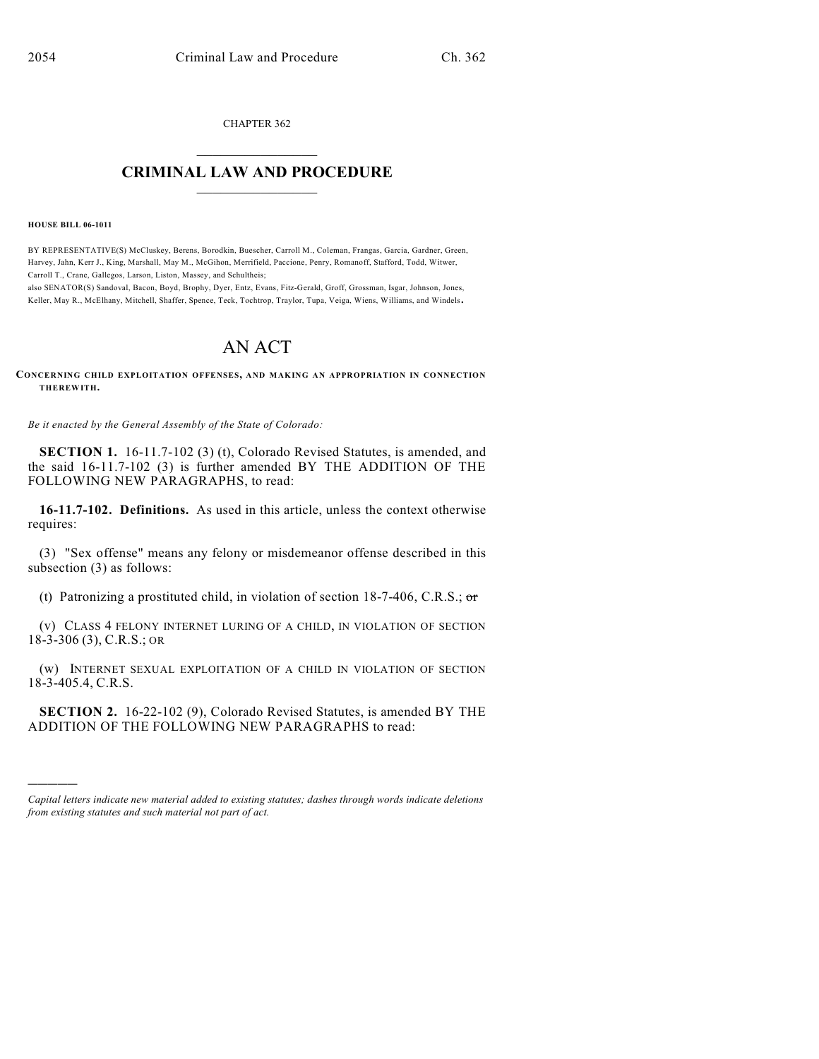CHAPTER 362  $\mathcal{L}_\text{max}$  . The set of the set of the set of the set of the set of the set of the set of the set of the set of the set of the set of the set of the set of the set of the set of the set of the set of the set of the set

## **CRIMINAL LAW AND PROCEDURE**  $\frac{1}{2}$  ,  $\frac{1}{2}$  ,  $\frac{1}{2}$  ,  $\frac{1}{2}$  ,  $\frac{1}{2}$  ,  $\frac{1}{2}$  ,  $\frac{1}{2}$

**HOUSE BILL 06-1011**

)))))

BY REPRESENTATIVE(S) McCluskey, Berens, Borodkin, Buescher, Carroll M., Coleman, Frangas, Garcia, Gardner, Green, Harvey, Jahn, Kerr J., King, Marshall, May M., McGihon, Merrifield, Paccione, Penry, Romanoff, Stafford, Todd, Witwer, Carroll T., Crane, Gallegos, Larson, Liston, Massey, and Schultheis;

also SENATOR(S) Sandoval, Bacon, Boyd, Brophy, Dyer, Entz, Evans, Fitz-Gerald, Groff, Grossman, Isgar, Johnson, Jones, Keller, May R., McElhany, Mitchell, Shaffer, Spence, Teck, Tochtrop, Traylor, Tupa, Veiga, Wiens, Williams, and Windels.

## AN ACT

**CONCERNING CHILD EXPLOITATION OFFENSES, AND MAKING AN APPROPRIATION IN CONNECTION THEREWITH.**

*Be it enacted by the General Assembly of the State of Colorado:*

**SECTION 1.** 16-11.7-102 (3) (t), Colorado Revised Statutes, is amended, and the said 16-11.7-102 (3) is further amended BY THE ADDITION OF THE FOLLOWING NEW PARAGRAPHS, to read:

**16-11.7-102. Definitions.** As used in this article, unless the context otherwise requires:

(3) "Sex offense" means any felony or misdemeanor offense described in this subsection (3) as follows:

(t) Patronizing a prostituted child, in violation of section 18-7-406, C.R.S.;  $\sigma$ 

(v) CLASS 4 FELONY INTERNET LURING OF A CHILD, IN VIOLATION OF SECTION 18-3-306 (3), C.R.S.; OR

(w) INTERNET SEXUAL EXPLOITATION OF A CHILD IN VIOLATION OF SECTION 18-3-405.4, C.R.S.

**SECTION 2.** 16-22-102 (9), Colorado Revised Statutes, is amended BY THE ADDITION OF THE FOLLOWING NEW PARAGRAPHS to read:

*Capital letters indicate new material added to existing statutes; dashes through words indicate deletions from existing statutes and such material not part of act.*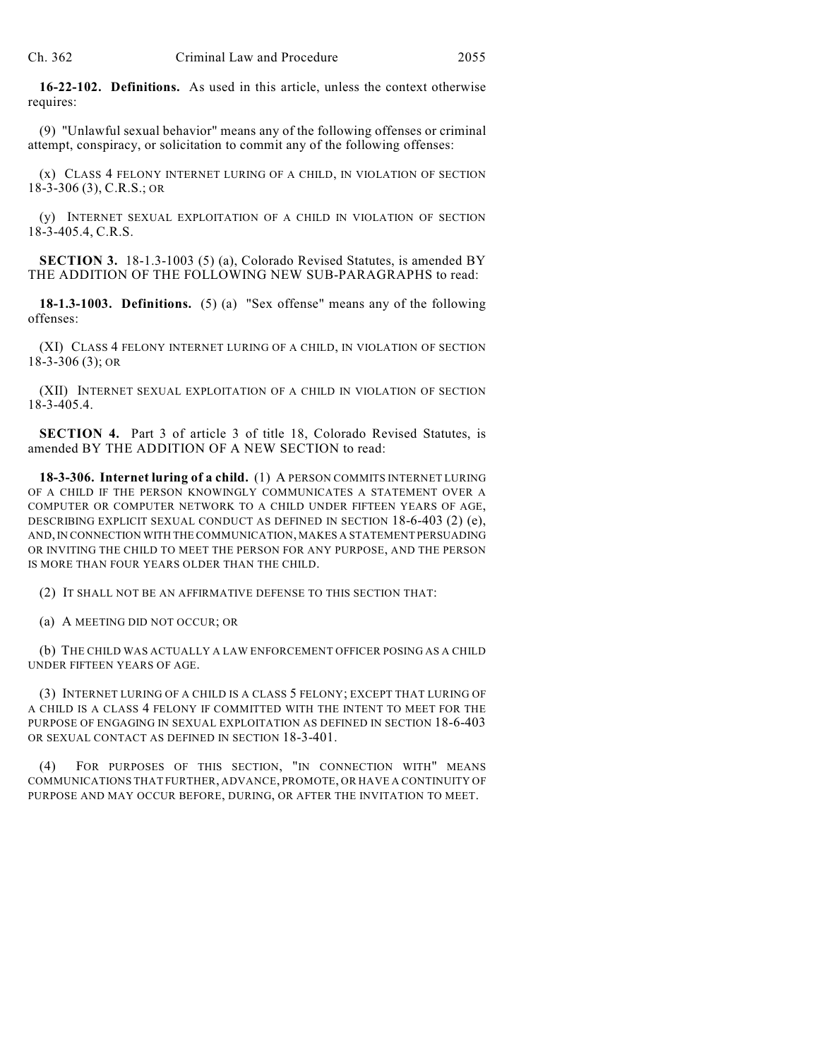**16-22-102. Definitions.** As used in this article, unless the context otherwise requires:

(9) "Unlawful sexual behavior" means any of the following offenses or criminal attempt, conspiracy, or solicitation to commit any of the following offenses:

(x) CLASS 4 FELONY INTERNET LURING OF A CHILD, IN VIOLATION OF SECTION 18-3-306 (3), C.R.S.; OR

(y) INTERNET SEXUAL EXPLOITATION OF A CHILD IN VIOLATION OF SECTION 18-3-405.4, C.R.S.

**SECTION 3.** 18-1.3-1003 (5) (a), Colorado Revised Statutes, is amended BY THE ADDITION OF THE FOLLOWING NEW SUB-PARAGRAPHS to read:

**18-1.3-1003. Definitions.** (5) (a) "Sex offense" means any of the following offenses:

(XI) CLASS 4 FELONY INTERNET LURING OF A CHILD, IN VIOLATION OF SECTION 18-3-306 (3); OR

(XII) INTERNET SEXUAL EXPLOITATION OF A CHILD IN VIOLATION OF SECTION 18-3-405.4.

**SECTION 4.** Part 3 of article 3 of title 18, Colorado Revised Statutes, is amended BY THE ADDITION OF A NEW SECTION to read:

**18-3-306. Internet luring of a child.** (1) A PERSON COMMITS INTERNET LURING OF A CHILD IF THE PERSON KNOWINGLY COMMUNICATES A STATEMENT OVER A COMPUTER OR COMPUTER NETWORK TO A CHILD UNDER FIFTEEN YEARS OF AGE, DESCRIBING EXPLICIT SEXUAL CONDUCT AS DEFINED IN SECTION 18-6-403 (2) (e), AND, IN CONNECTION WITH THE COMMUNICATION, MAKES A STATEMENT PERSUADING OR INVITING THE CHILD TO MEET THE PERSON FOR ANY PURPOSE, AND THE PERSON IS MORE THAN FOUR YEARS OLDER THAN THE CHILD.

(2) IT SHALL NOT BE AN AFFIRMATIVE DEFENSE TO THIS SECTION THAT:

(a) A MEETING DID NOT OCCUR; OR

(b) THE CHILD WAS ACTUALLY A LAW ENFORCEMENT OFFICER POSING AS A CHILD UNDER FIFTEEN YEARS OF AGE.

(3) INTERNET LURING OF A CHILD IS A CLASS 5 FELONY; EXCEPT THAT LURING OF A CHILD IS A CLASS 4 FELONY IF COMMITTED WITH THE INTENT TO MEET FOR THE PURPOSE OF ENGAGING IN SEXUAL EXPLOITATION AS DEFINED IN SECTION 18-6-403 OR SEXUAL CONTACT AS DEFINED IN SECTION 18-3-401.

(4) FOR PURPOSES OF THIS SECTION, "IN CONNECTION WITH" MEANS COMMUNICATIONS THAT FURTHER, ADVANCE, PROMOTE, OR HAVE A CONTINUITY OF PURPOSE AND MAY OCCUR BEFORE, DURING, OR AFTER THE INVITATION TO MEET.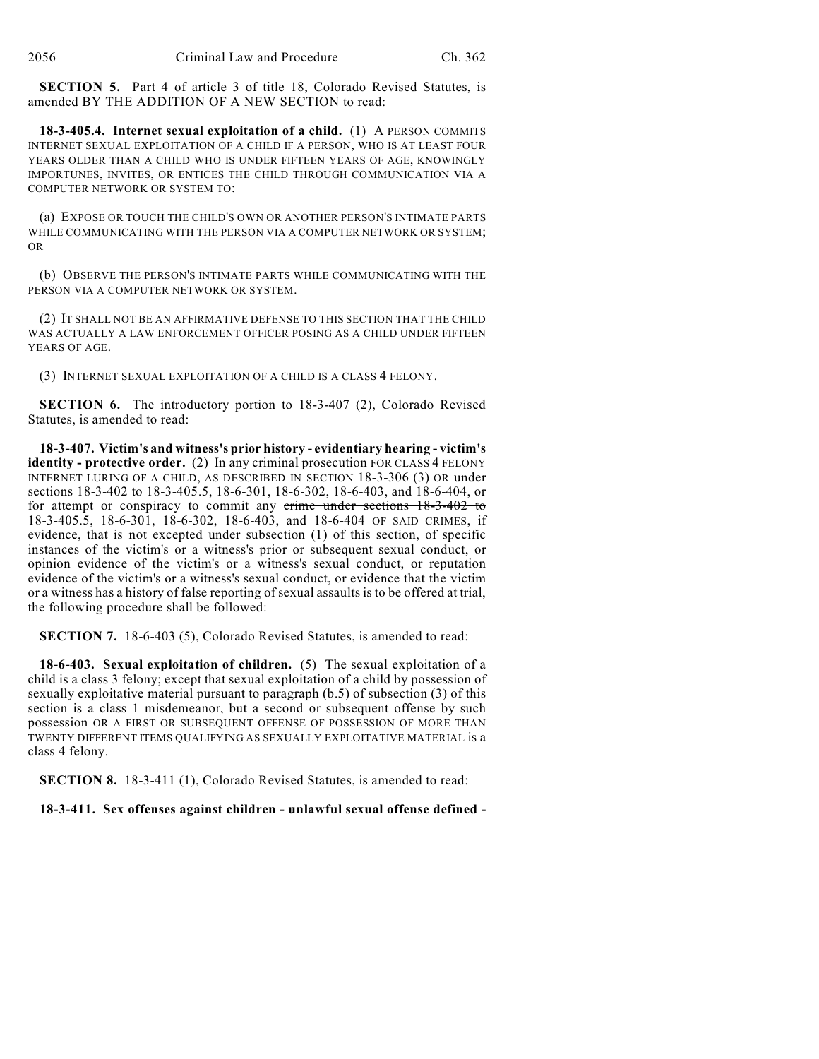**SECTION 5.** Part 4 of article 3 of title 18, Colorado Revised Statutes, is amended BY THE ADDITION OF A NEW SECTION to read:

**18-3-405.4. Internet sexual exploitation of a child.** (1) A PERSON COMMITS INTERNET SEXUAL EXPLOITATION OF A CHILD IF A PERSON, WHO IS AT LEAST FOUR YEARS OLDER THAN A CHILD WHO IS UNDER FIFTEEN YEARS OF AGE, KNOWINGLY IMPORTUNES, INVITES, OR ENTICES THE CHILD THROUGH COMMUNICATION VIA A COMPUTER NETWORK OR SYSTEM TO:

(a) EXPOSE OR TOUCH THE CHILD'S OWN OR ANOTHER PERSON'S INTIMATE PARTS WHILE COMMUNICATING WITH THE PERSON VIA A COMPUTER NETWORK OR SYSTEM; OR

(b) OBSERVE THE PERSON'S INTIMATE PARTS WHILE COMMUNICATING WITH THE PERSON VIA A COMPUTER NETWORK OR SYSTEM.

(2) IT SHALL NOT BE AN AFFIRMATIVE DEFENSE TO THIS SECTION THAT THE CHILD WAS ACTUALLY A LAW ENFORCEMENT OFFICER POSING AS A CHILD UNDER FIFTEEN YEARS OF AGE.

(3) INTERNET SEXUAL EXPLOITATION OF A CHILD IS A CLASS 4 FELONY.

**SECTION 6.** The introductory portion to 18-3-407 (2), Colorado Revised Statutes, is amended to read:

**18-3-407. Victim's and witness's prior history - evidentiary hearing - victim's identity - protective order.** (2) In any criminal prosecution FOR CLASS 4 FELONY INTERNET LURING OF A CHILD, AS DESCRIBED IN SECTION 18-3-306 (3) OR under sections 18-3-402 to 18-3-405.5, 18-6-301, 18-6-302, 18-6-403, and 18-6-404, or for attempt or conspiracy to commit any crime under sections 18-3-402 to 18-3-405.5, 18-6-301, 18-6-302, 18-6-403, and 18-6-404 OF SAID CRIMES, if evidence, that is not excepted under subsection (1) of this section, of specific instances of the victim's or a witness's prior or subsequent sexual conduct, or opinion evidence of the victim's or a witness's sexual conduct, or reputation evidence of the victim's or a witness's sexual conduct, or evidence that the victim or a witness has a history of false reporting of sexual assaults is to be offered at trial, the following procedure shall be followed:

**SECTION 7.** 18-6-403 (5), Colorado Revised Statutes, is amended to read:

**18-6-403. Sexual exploitation of children.** (5) The sexual exploitation of a child is a class 3 felony; except that sexual exploitation of a child by possession of sexually exploitative material pursuant to paragraph (b.5) of subsection (3) of this section is a class 1 misdemeanor, but a second or subsequent offense by such possession OR A FIRST OR SUBSEQUENT OFFENSE OF POSSESSION OF MORE THAN TWENTY DIFFERENT ITEMS QUALIFYING AS SEXUALLY EXPLOITATIVE MATERIAL is a class 4 felony.

**SECTION 8.** 18-3-411 (1), Colorado Revised Statutes, is amended to read:

**18-3-411. Sex offenses against children - unlawful sexual offense defined -**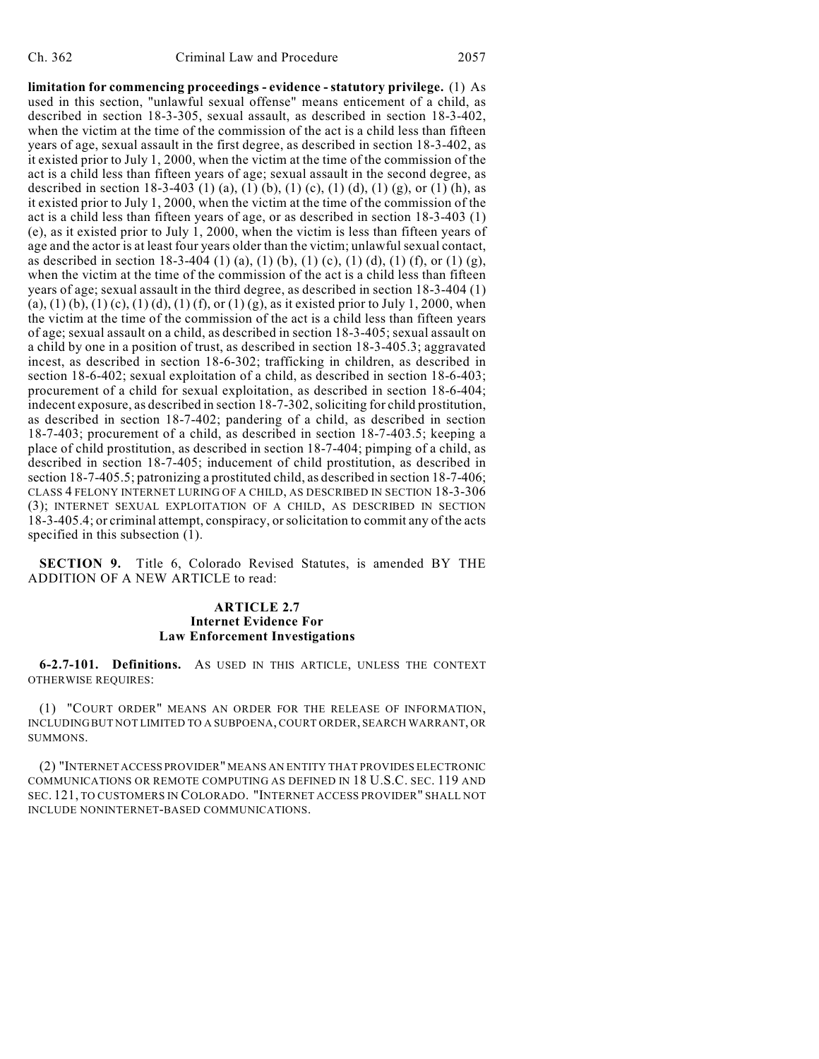**limitation for commencing proceedings - evidence - statutory privilege.** (1) As used in this section, "unlawful sexual offense" means enticement of a child, as described in section 18-3-305, sexual assault, as described in section 18-3-402, when the victim at the time of the commission of the act is a child less than fifteen years of age, sexual assault in the first degree, as described in section 18-3-402, as it existed prior to July 1, 2000, when the victim at the time of the commission of the act is a child less than fifteen years of age; sexual assault in the second degree, as described in section 18-3-403 (1) (a), (1) (b), (1) (c), (1) (d), (1) (g), or (1) (h), as it existed prior to July 1, 2000, when the victim at the time of the commission of the act is a child less than fifteen years of age, or as described in section 18-3-403 (1) (e), as it existed prior to July 1, 2000, when the victim is less than fifteen years of age and the actor is at least four years older than the victim; unlawful sexual contact, as described in section 18-3-404 (1) (a), (1) (b), (1) (c), (1) (d), (1) (f), or (1) (g), when the victim at the time of the commission of the act is a child less than fifteen years of age; sexual assault in the third degree, as described in section 18-3-404 (1) (a), (1) (b), (1) (c), (1) (d), (1) (f), or (1) (g), as it existed prior to July 1, 2000, when the victim at the time of the commission of the act is a child less than fifteen years of age; sexual assault on a child, as described in section 18-3-405; sexual assault on a child by one in a position of trust, as described in section 18-3-405.3; aggravated incest, as described in section 18-6-302; trafficking in children, as described in section 18-6-402; sexual exploitation of a child, as described in section 18-6-403; procurement of a child for sexual exploitation, as described in section 18-6-404; indecent exposure, as described in section 18-7-302, soliciting for child prostitution, as described in section 18-7-402; pandering of a child, as described in section 18-7-403; procurement of a child, as described in section 18-7-403.5; keeping a place of child prostitution, as described in section 18-7-404; pimping of a child, as described in section 18-7-405; inducement of child prostitution, as described in section 18-7-405.5; patronizing a prostituted child, as described in section 18-7-406; CLASS 4 FELONY INTERNET LURING OF A CHILD, AS DESCRIBED IN SECTION 18-3-306 (3); INTERNET SEXUAL EXPLOITATION OF A CHILD, AS DESCRIBED IN SECTION 18-3-405.4; or criminal attempt, conspiracy, or solicitation to commit any of the acts specified in this subsection (1).

**SECTION 9.** Title 6, Colorado Revised Statutes, is amended BY THE ADDITION OF A NEW ARTICLE to read:

## **ARTICLE 2.7 Internet Evidence For Law Enforcement Investigations**

**6-2.7-101. Definitions.** AS USED IN THIS ARTICLE, UNLESS THE CONTEXT OTHERWISE REQUIRES:

(1) "COURT ORDER" MEANS AN ORDER FOR THE RELEASE OF INFORMATION, INCLUDINGBUT NOT LIMITED TO A SUBPOENA, COURT ORDER, SEARCH WARRANT, OR SUMMONS.

(2) "INTERNET ACCESS PROVIDER" MEANS AN ENTITY THAT PROVIDES ELECTRONIC COMMUNICATIONS OR REMOTE COMPUTING AS DEFINED IN 18 U.S.C. SEC. 119 AND SEC. 121, TO CUSTOMERS IN COLORADO. "INTERNET ACCESS PROVIDER" SHALL NOT INCLUDE NONINTERNET-BASED COMMUNICATIONS.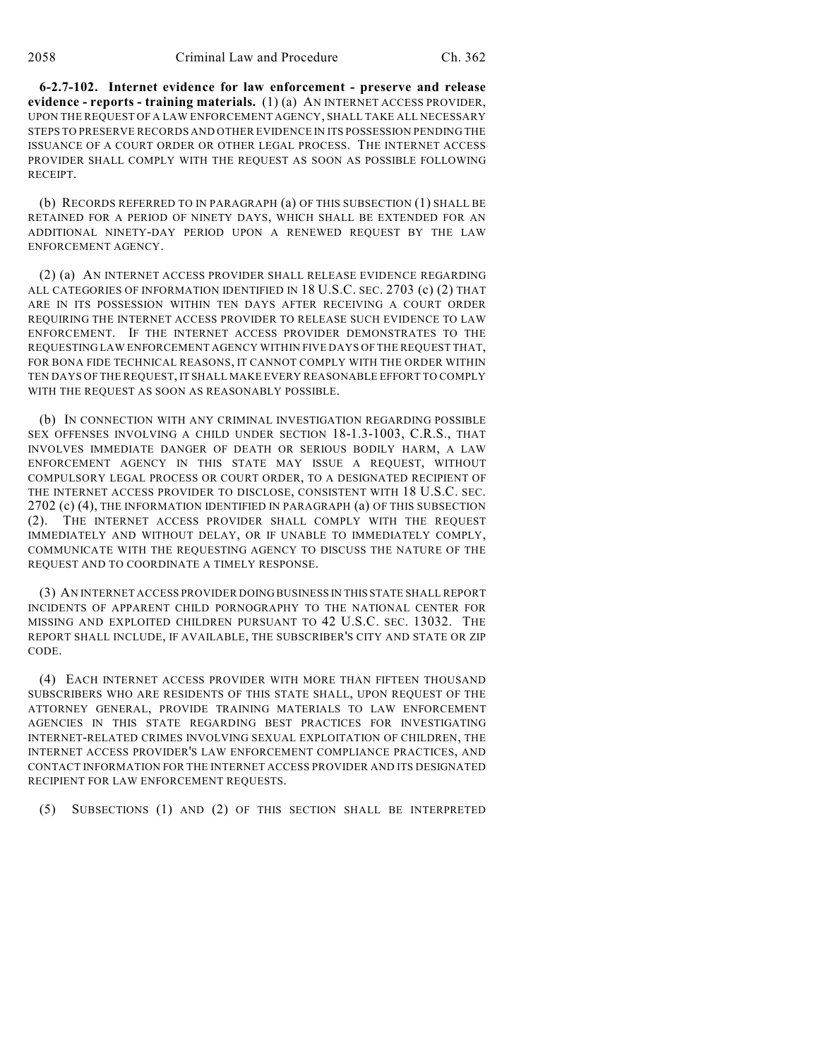**6-2.7-102. Internet evidence for law enforcement - preserve and release evidence - reports - training materials.** (1) (a) AN INTERNET ACCESS PROVIDER, UPON THE REQUEST OF A LAW ENFORCEMENT AGENCY, SHALL TAKE ALL NECESSARY STEPS TO PRESERVE RECORDS AND OTHER EVIDENCE IN ITS POSSESSION PENDING THE ISSUANCE OF A COURT ORDER OR OTHER LEGAL PROCESS. THE INTERNET ACCESS PROVIDER SHALL COMPLY WITH THE REQUEST AS SOON AS POSSIBLE FOLLOWING RECEIPT.

(b) RECORDS REFERRED TO IN PARAGRAPH (a) OF THIS SUBSECTION (1) SHALL BE RETAINED FOR A PERIOD OF NINETY DAYS, WHICH SHALL BE EXTENDED FOR AN ADDITIONAL NINETY-DAY PERIOD UPON A RENEWED REQUEST BY THE LAW ENFORCEMENT AGENCY.

(2) (a) AN INTERNET ACCESS PROVIDER SHALL RELEASE EVIDENCE REGARDING ALL CATEGORIES OF INFORMATION IDENTIFIED IN 18 U.S.C. SEC. 2703 (c) (2) THAT ARE IN ITS POSSESSION WITHIN TEN DAYS AFTER RECEIVING A COURT ORDER REQUIRING THE INTERNET ACCESS PROVIDER TO RELEASE SUCH EVIDENCE TO LAW ENFORCEMENT. IF THE INTERNET ACCESS PROVIDER DEMONSTRATES TO THE REQUESTING LAW ENFORCEMENT AGENCY WITHIN FIVE DAYS OFTHE REQUEST THAT, FOR BONA FIDE TECHNICAL REASONS, IT CANNOT COMPLY WITH THE ORDER WITHIN TEN DAYS OF THE REQUEST, IT SHALL MAKE EVERY REASONABLE EFFORT TO COMPLY WITH THE REQUEST AS SOON AS REASONABLY POSSIBLE.

(b) IN CONNECTION WITH ANY CRIMINAL INVESTIGATION REGARDING POSSIBLE SEX OFFENSES INVOLVING A CHILD UNDER SECTION 18-1.3-1003, C.R.S., THAT INVOLVES IMMEDIATE DANGER OF DEATH OR SERIOUS BODILY HARM, A LAW ENFORCEMENT AGENCY IN THIS STATE MAY ISSUE A REQUEST, WITHOUT COMPULSORY LEGAL PROCESS OR COURT ORDER, TO A DESIGNATED RECIPIENT OF THE INTERNET ACCESS PROVIDER TO DISCLOSE, CONSISTENT WITH 18 U.S.C. SEC. 2702 (c) (4), THE INFORMATION IDENTIFIED IN PARAGRAPH (a) OF THIS SUBSECTION (2). THE INTERNET ACCESS PROVIDER SHALL COMPLY WITH THE REQUEST IMMEDIATELY AND WITHOUT DELAY, OR IF UNABLE TO IMMEDIATELY COMPLY, COMMUNICATE WITH THE REQUESTING AGENCY TO DISCUSS THE NATURE OF THE REQUEST AND TO COORDINATE A TIMELY RESPONSE.

(3) AN INTERNET ACCESS PROVIDER DOING BUSINESS IN THIS STATE SHALL REPORT INCIDENTS OF APPARENT CHILD PORNOGRAPHY TO THE NATIONAL CENTER FOR MISSING AND EXPLOITED CHILDREN PURSUANT TO 42 U.S.C. SEC. 13032. THE REPORT SHALL INCLUDE, IF AVAILABLE, THE SUBSCRIBER'S CITY AND STATE OR ZIP CODE.

(4) EACH INTERNET ACCESS PROVIDER WITH MORE THAN FIFTEEN THOUSAND SUBSCRIBERS WHO ARE RESIDENTS OF THIS STATE SHALL, UPON REQUEST OF THE ATTORNEY GENERAL, PROVIDE TRAINING MATERIALS TO LAW ENFORCEMENT AGENCIES IN THIS STATE REGARDING BEST PRACTICES FOR INVESTIGATING INTERNET-RELATED CRIMES INVOLVING SEXUAL EXPLOITATION OF CHILDREN, THE INTERNET ACCESS PROVIDER'S LAW ENFORCEMENT COMPLIANCE PRACTICES, AND CONTACT INFORMATION FOR THE INTERNET ACCESS PROVIDER AND ITS DESIGNATED RECIPIENT FOR LAW ENFORCEMENT REQUESTS.

(5) SUBSECTIONS (1) AND (2) OF THIS SECTION SHALL BE INTERPRETED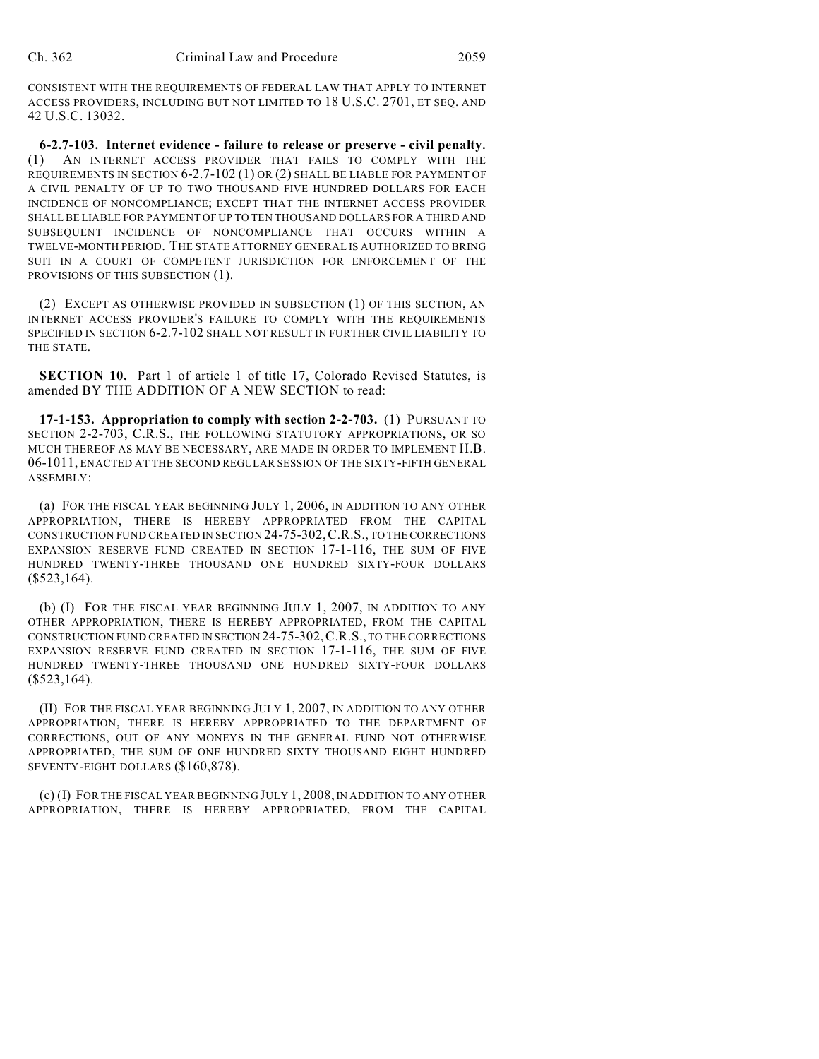CONSISTENT WITH THE REQUIREMENTS OF FEDERAL LAW THAT APPLY TO INTERNET ACCESS PROVIDERS, INCLUDING BUT NOT LIMITED TO 18 U.S.C. 2701, ET SEQ. AND 42 U.S.C. 13032.

**6-2.7-103. Internet evidence - failure to release or preserve - civil penalty.** (1) AN INTERNET ACCESS PROVIDER THAT FAILS TO COMPLY WITH THE REQUIREMENTS IN SECTION 6-2.7-102 (1) OR (2) SHALL BE LIABLE FOR PAYMENT OF A CIVIL PENALTY OF UP TO TWO THOUSAND FIVE HUNDRED DOLLARS FOR EACH INCIDENCE OF NONCOMPLIANCE; EXCEPT THAT THE INTERNET ACCESS PROVIDER SHALL BE LIABLE FOR PAYMENT OF UP TO TEN THOUSAND DOLLARS FOR A THIRD AND SUBSEQUENT INCIDENCE OF NONCOMPLIANCE THAT OCCURS WITHIN A TWELVE-MONTH PERIOD. THE STATE ATTORNEY GENERAL IS AUTHORIZED TO BRING SUIT IN A COURT OF COMPETENT JURISDICTION FOR ENFORCEMENT OF THE PROVISIONS OF THIS SUBSECTION (1).

(2) EXCEPT AS OTHERWISE PROVIDED IN SUBSECTION (1) OF THIS SECTION, AN INTERNET ACCESS PROVIDER'S FAILURE TO COMPLY WITH THE REQUIREMENTS SPECIFIED IN SECTION 6-2.7-102 SHALL NOT RESULT IN FURTHER CIVIL LIABILITY TO THE STATE.

**SECTION 10.** Part 1 of article 1 of title 17, Colorado Revised Statutes, is amended BY THE ADDITION OF A NEW SECTION to read:

**17-1-153. Appropriation to comply with section 2-2-703.** (1) PURSUANT TO SECTION 2-2-703, C.R.S., THE FOLLOWING STATUTORY APPROPRIATIONS, OR SO MUCH THEREOF AS MAY BE NECESSARY, ARE MADE IN ORDER TO IMPLEMENT H.B. 06-1011, ENACTED AT THE SECOND REGULAR SESSION OF THE SIXTY-FIFTH GENERAL ASSEMBLY:

(a) FOR THE FISCAL YEAR BEGINNING JULY 1, 2006, IN ADDITION TO ANY OTHER APPROPRIATION, THERE IS HEREBY APPROPRIATED FROM THE CAPITAL CONSTRUCTION FUND CREATED IN SECTION 24-75-302,C.R.S., TO THE CORRECTIONS EXPANSION RESERVE FUND CREATED IN SECTION 17-1-116, THE SUM OF FIVE HUNDRED TWENTY-THREE THOUSAND ONE HUNDRED SIXTY-FOUR DOLLARS  $($523,164).$ 

(b) (I) FOR THE FISCAL YEAR BEGINNING JULY 1, 2007, IN ADDITION TO ANY OTHER APPROPRIATION, THERE IS HEREBY APPROPRIATED, FROM THE CAPITAL CONSTRUCTION FUND CREATED IN SECTION 24-75-302,C.R.S., TO THE CORRECTIONS EXPANSION RESERVE FUND CREATED IN SECTION 17-1-116, THE SUM OF FIVE HUNDRED TWENTY-THREE THOUSAND ONE HUNDRED SIXTY-FOUR DOLLARS  $($523,164).$ 

(II) FOR THE FISCAL YEAR BEGINNING JULY 1, 2007, IN ADDITION TO ANY OTHER APPROPRIATION, THERE IS HEREBY APPROPRIATED TO THE DEPARTMENT OF CORRECTIONS, OUT OF ANY MONEYS IN THE GENERAL FUND NOT OTHERWISE APPROPRIATED, THE SUM OF ONE HUNDRED SIXTY THOUSAND EIGHT HUNDRED SEVENTY-EIGHT DOLLARS (\$160,878).

(c) (I) FOR THE FISCAL YEAR BEGINNING JULY 1, 2008, IN ADDITION TO ANY OTHER APPROPRIATION, THERE IS HEREBY APPROPRIATED, FROM THE CAPITAL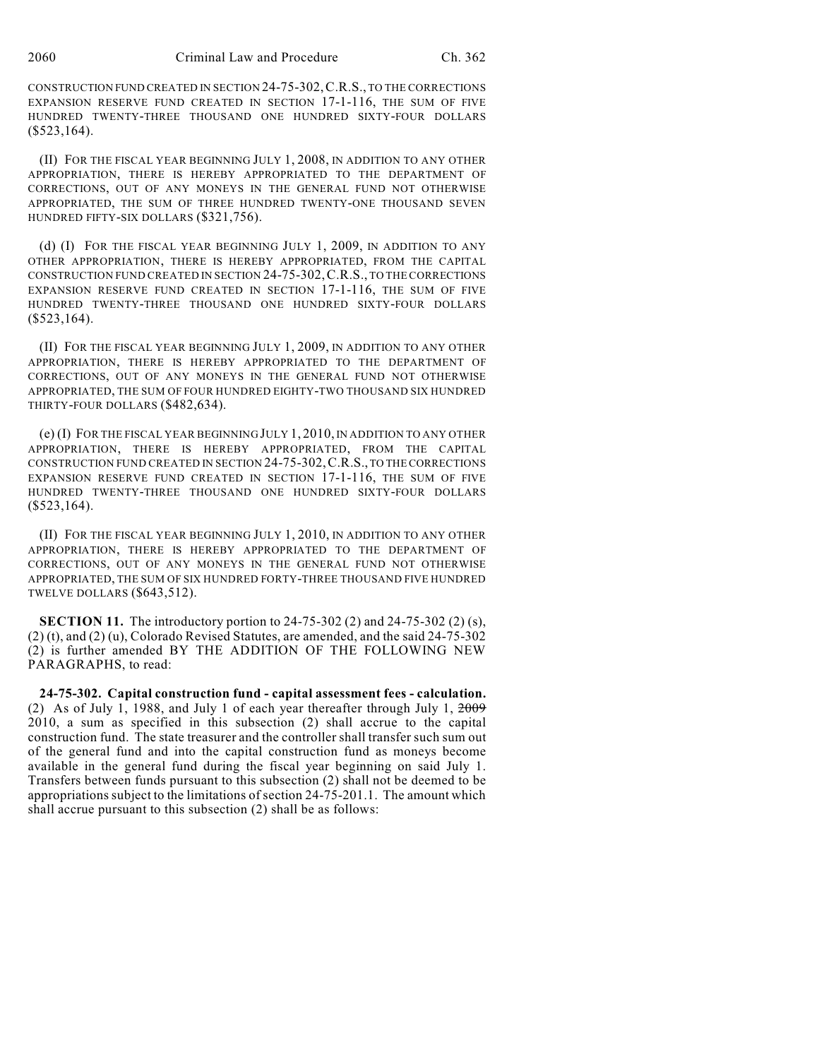CONSTRUCTION FUND CREATED IN SECTION 24-75-302,C.R.S., TO THE CORRECTIONS EXPANSION RESERVE FUND CREATED IN SECTION 17-1-116, THE SUM OF FIVE HUNDRED TWENTY-THREE THOUSAND ONE HUNDRED SIXTY-FOUR DOLLARS (\$523,164).

(II) FOR THE FISCAL YEAR BEGINNING JULY 1, 2008, IN ADDITION TO ANY OTHER APPROPRIATION, THERE IS HEREBY APPROPRIATED TO THE DEPARTMENT OF CORRECTIONS, OUT OF ANY MONEYS IN THE GENERAL FUND NOT OTHERWISE APPROPRIATED, THE SUM OF THREE HUNDRED TWENTY-ONE THOUSAND SEVEN HUNDRED FIFTY-SIX DOLLARS (\$321,756).

(d) (I) FOR THE FISCAL YEAR BEGINNING JULY 1, 2009, IN ADDITION TO ANY OTHER APPROPRIATION, THERE IS HEREBY APPROPRIATED, FROM THE CAPITAL CONSTRUCTION FUND CREATED IN SECTION 24-75-302,C.R.S., TO THE CORRECTIONS EXPANSION RESERVE FUND CREATED IN SECTION 17-1-116, THE SUM OF FIVE HUNDRED TWENTY-THREE THOUSAND ONE HUNDRED SIXTY-FOUR DOLLARS (\$523,164).

(II) FOR THE FISCAL YEAR BEGINNING JULY 1, 2009, IN ADDITION TO ANY OTHER APPROPRIATION, THERE IS HEREBY APPROPRIATED TO THE DEPARTMENT OF CORRECTIONS, OUT OF ANY MONEYS IN THE GENERAL FUND NOT OTHERWISE APPROPRIATED, THE SUM OF FOUR HUNDRED EIGHTY-TWO THOUSAND SIX HUNDRED THIRTY-FOUR DOLLARS (\$482,634).

(e) (I) FOR THE FISCAL YEAR BEGINNING JULY 1, 2010, IN ADDITION TO ANY OTHER APPROPRIATION, THERE IS HEREBY APPROPRIATED, FROM THE CAPITAL CONSTRUCTION FUND CREATED IN SECTION 24-75-302,C.R.S., TO THE CORRECTIONS EXPANSION RESERVE FUND CREATED IN SECTION 17-1-116, THE SUM OF FIVE HUNDRED TWENTY-THREE THOUSAND ONE HUNDRED SIXTY-FOUR DOLLARS  $($523,164).$ 

(II) FOR THE FISCAL YEAR BEGINNING JULY 1, 2010, IN ADDITION TO ANY OTHER APPROPRIATION, THERE IS HEREBY APPROPRIATED TO THE DEPARTMENT OF CORRECTIONS, OUT OF ANY MONEYS IN THE GENERAL FUND NOT OTHERWISE APPROPRIATED, THE SUM OF SIX HUNDRED FORTY-THREE THOUSAND FIVE HUNDRED TWELVE DOLLARS (\$643,512).

**SECTION 11.** The introductory portion to 24-75-302 (2) and 24-75-302 (2) (s), (2) (t), and (2) (u), Colorado Revised Statutes, are amended, and the said 24-75-302 (2) is further amended BY THE ADDITION OF THE FOLLOWING NEW PARAGRAPHS, to read:

**24-75-302. Capital construction fund - capital assessment fees - calculation.** (2) As of July 1, 1988, and July 1 of each year thereafter through July 1, 2009 2010, a sum as specified in this subsection (2) shall accrue to the capital construction fund. The state treasurer and the controller shall transfer such sum out of the general fund and into the capital construction fund as moneys become available in the general fund during the fiscal year beginning on said July 1. Transfers between funds pursuant to this subsection (2) shall not be deemed to be appropriations subject to the limitations of section 24-75-201.1. The amount which shall accrue pursuant to this subsection (2) shall be as follows: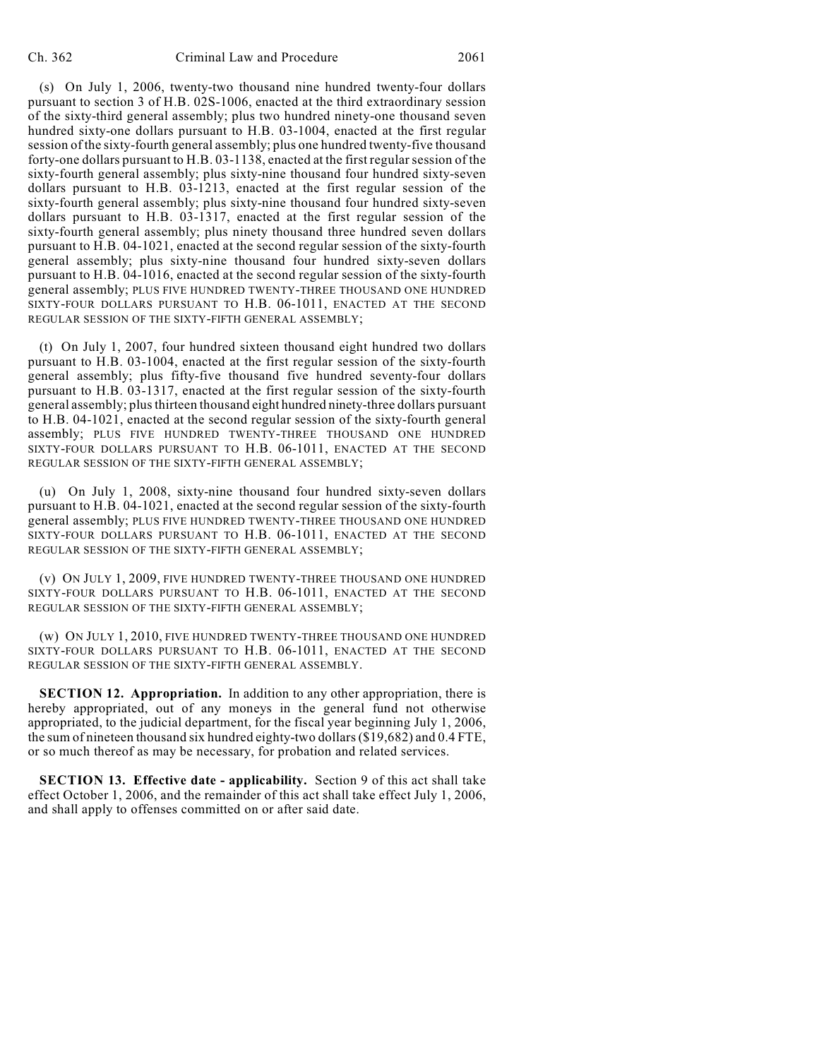(s) On July 1, 2006, twenty-two thousand nine hundred twenty-four dollars pursuant to section 3 of H.B. 02S-1006, enacted at the third extraordinary session of the sixty-third general assembly; plus two hundred ninety-one thousand seven hundred sixty-one dollars pursuant to H.B. 03-1004, enacted at the first regular session of the sixty-fourth general assembly; plus one hundred twenty-five thousand forty-one dollars pursuant to H.B. 03-1138, enacted at the first regular session of the sixty-fourth general assembly; plus sixty-nine thousand four hundred sixty-seven dollars pursuant to H.B. 03-1213, enacted at the first regular session of the sixty-fourth general assembly; plus sixty-nine thousand four hundred sixty-seven dollars pursuant to H.B. 03-1317, enacted at the first regular session of the sixty-fourth general assembly; plus ninety thousand three hundred seven dollars pursuant to H.B. 04-1021, enacted at the second regular session of the sixty-fourth general assembly; plus sixty-nine thousand four hundred sixty-seven dollars pursuant to H.B. 04-1016, enacted at the second regular session of the sixty-fourth general assembly; PLUS FIVE HUNDRED TWENTY-THREE THOUSAND ONE HUNDRED SIXTY-FOUR DOLLARS PURSUANT TO H.B. 06-1011, ENACTED AT THE SECOND REGULAR SESSION OF THE SIXTY-FIFTH GENERAL ASSEMBLY;

(t) On July 1, 2007, four hundred sixteen thousand eight hundred two dollars pursuant to H.B. 03-1004, enacted at the first regular session of the sixty-fourth general assembly; plus fifty-five thousand five hundred seventy-four dollars pursuant to H.B. 03-1317, enacted at the first regular session of the sixty-fourth general assembly; plus thirteen thousand eight hundred ninety-three dollars pursuant to H.B. 04-1021, enacted at the second regular session of the sixty-fourth general assembly; PLUS FIVE HUNDRED TWENTY-THREE THOUSAND ONE HUNDRED SIXTY-FOUR DOLLARS PURSUANT TO H.B. 06-1011, ENACTED AT THE SECOND REGULAR SESSION OF THE SIXTY-FIFTH GENERAL ASSEMBLY;

(u) On July 1, 2008, sixty-nine thousand four hundred sixty-seven dollars pursuant to H.B. 04-1021, enacted at the second regular session of the sixty-fourth general assembly; PLUS FIVE HUNDRED TWENTY-THREE THOUSAND ONE HUNDRED SIXTY-FOUR DOLLARS PURSUANT TO H.B. 06-1011, ENACTED AT THE SECOND REGULAR SESSION OF THE SIXTY-FIFTH GENERAL ASSEMBLY;

(v) ON JULY 1, 2009, FIVE HUNDRED TWENTY-THREE THOUSAND ONE HUNDRED SIXTY-FOUR DOLLARS PURSUANT TO H.B. 06-1011, ENACTED AT THE SECOND REGULAR SESSION OF THE SIXTY-FIFTH GENERAL ASSEMBLY;

(w) ON JULY 1, 2010, FIVE HUNDRED TWENTY-THREE THOUSAND ONE HUNDRED SIXTY-FOUR DOLLARS PURSUANT TO H.B. 06-1011, ENACTED AT THE SECOND REGULAR SESSION OF THE SIXTY-FIFTH GENERAL ASSEMBLY.

**SECTION 12. Appropriation.** In addition to any other appropriation, there is hereby appropriated, out of any moneys in the general fund not otherwise appropriated, to the judicial department, for the fiscal year beginning July 1, 2006, the sum of nineteen thousand six hundred eighty-two dollars (\$19,682) and 0.4 FTE, or so much thereof as may be necessary, for probation and related services.

**SECTION 13. Effective date - applicability.** Section 9 of this act shall take effect October 1, 2006, and the remainder of this act shall take effect July 1, 2006, and shall apply to offenses committed on or after said date.